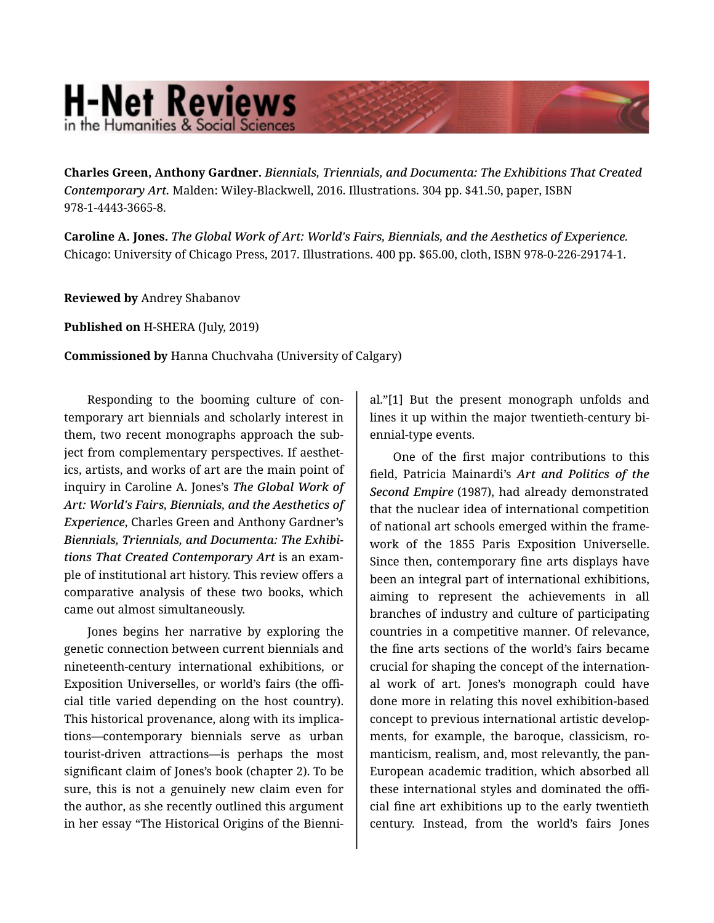## **H-Net Reviews** in the Humanities & Social Sciend

**Charles Green, Anthony Gardner.** *Biennials, Triennials, and Documenta: The Exhibitions That Created Contemporary Art.* Malden: Wiley-Blackwell, 2016. Illustrations. 304 pp. \$41.50, paper, ISBN 978-1-4443-3665-8.

**Caroline A. Jones.** *The Global Work of Art: World's Fairs, Biennials, and the Aesthetics of Experience.*  Chicago: University of Chicago Press, 2017. Illustrations. 400 pp. \$65.00, cloth, ISBN 978-0-226-29174-1.

**Reviewed by** Andrey Shabanov

**Published on** H-SHERA (July, 2019)

**Commissioned by** Hanna Chuchvaha (University of Calgary)

Responding to the booming culture of con‐ temporary art biennials and scholarly interest in them, two recent monographs approach the sub‐ ject from complementary perspectives. If aesthetics, artists, and works of art are the main point of inquiry in Caroline A. Jones's *The Global Work of Art: World's Fairs, Biennials, and the Aesthetics of Experience*, Charles Green and Anthony Gardner's *Biennials, Triennials, and Documenta: The Exhibi‐ tions That Created Contemporary Art* is an exam‐ ple of institutional art history. This review offers a comparative analysis of these two books, which came out almost simultaneously.

Jones begins her narrative by exploring the genetic connection between current biennials and nineteenth-century international exhibitions, or Exposition Universelles, or world's fairs (the offi‐ cial title varied depending on the host country). This historical provenance, along with its implica‐ tions—contemporary biennials serve as urban tourist-driven attractions—is perhaps the most significant claim of Jones's book (chapter 2). To be sure, this is not a genuinely new claim even for the author, as she recently outlined this argument in her essay "The Historical Origins of the Bienni‐

al."[1] But the present monograph unfolds and lines it up within the major twentieth-century bi‐ ennial-type events.

One of the first major contributions to this field, Patricia Mainardi's *Art and Politics of the Second Empire* (1987), had already demonstrated that the nuclear idea of international competition of national art schools emerged within the frame‐ work of the 1855 Paris Exposition Universelle. Since then, contemporary fine arts displays have been an integral part of international exhibitions, aiming to represent the achievements in all branches of industry and culture of participating countries in a competitive manner. Of relevance, the fine arts sections of the world's fairs became crucial for shaping the concept of the internation‐ al work of art. Jones's monograph could have done more in relating this novel exhibition-based concept to previous international artistic develop‐ ments, for example, the baroque, classicism, romanticism, realism, and, most relevantly, the pan-European academic tradition, which absorbed all these international styles and dominated the offi‐ cial fine art exhibitions up to the early twentieth century. Instead, from the world's fairs Jones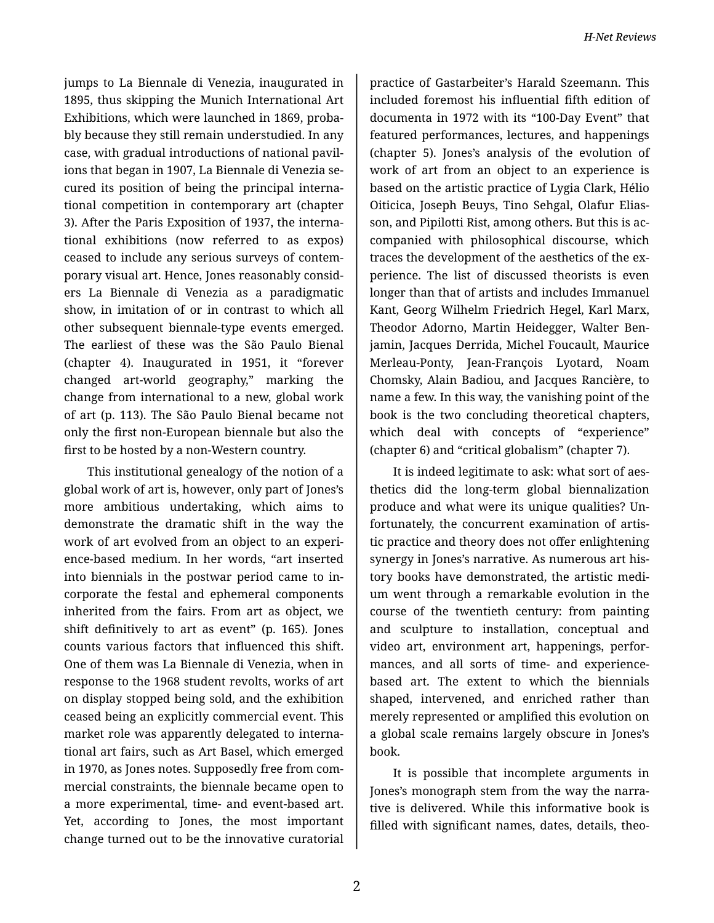jumps to La Biennale di Venezia, inaugurated in 1895, thus skipping the Munich International Art Exhibitions, which were launched in 1869, proba‐ bly because they still remain understudied. In any case, with gradual introductions of national pavil‐ ions that began in 1907, La Biennale di Venezia se‐ cured its position of being the principal interna‐ tional competition in contemporary art (chapter 3). After the Paris Exposition of 1937, the interna‐ tional exhibitions (now referred to as expos) ceased to include any serious surveys of contem‐ porary visual art. Hence, Jones reasonably consid‐ ers La Biennale di Venezia as a paradigmatic show, in imitation of or in contrast to which all other subsequent biennale-type events emerged. The earliest of these was the São Paulo Bienal (chapter 4). Inaugurated in 1951, it "forever changed art-world geography," marking the change from international to a new, global work of art (p. 113). The São Paulo Bienal became not only the first non-European biennale but also the first to be hosted by a non-Western country.

This institutional genealogy of the notion of a global work of art is, however, only part of Jones's more ambitious undertaking, which aims to demonstrate the dramatic shift in the way the work of art evolved from an object to an experi‐ ence-based medium. In her words, "art inserted into biennials in the postwar period came to in‐ corporate the festal and ephemeral components inherited from the fairs. From art as object, we shift definitively to art as event" (p. 165). Jones counts various factors that influenced this shift. One of them was La Biennale di Venezia, when in response to the 1968 student revolts, works of art on display stopped being sold, and the exhibition ceased being an explicitly commercial event. This market role was apparently delegated to interna‐ tional art fairs, such as Art Basel, which emerged in 1970, as Jones notes. Supposedly free from com‐ mercial constraints, the biennale became open to a more experimental, time- and event-based art. Yet, according to Jones, the most important change turned out to be the innovative curatorial

practice of Gastarbeiter's Harald Szeemann. This included foremost his influential fifth edition of documenta in 1972 with its "100-Day Event" that featured performances, lectures, and happenings (chapter 5). Jones's analysis of the evolution of work of art from an object to an experience is based on the artistic practice of Lygia Clark, Hélio Oiticica, Joseph Beuys, Tino Sehgal, Olafur Elias‐ son, and Pipilotti Rist, among others. But this is ac‐ companied with philosophical discourse, which traces the development of the aesthetics of the ex‐ perience. The list of discussed theorists is even longer than that of artists and includes Immanuel Kant, Georg Wilhelm Friedrich Hegel, Karl Marx, Theodor Adorno, Martin Heidegger, Walter Ben‐ jamin, Jacques Derrida, Michel Foucault, Maurice Merleau-Ponty, Jean-François Lyotard, Noam Chomsky, Alain Badiou, and Jacques Rancière, to name a few. In this way, the vanishing point of the book is the two concluding theoretical chapters, which deal with concepts of "experience" (chapter 6) and "critical globalism" (chapter 7).

It is indeed legitimate to ask: what sort of aes‐ thetics did the long-term global biennalization produce and what were its unique qualities? Un‐ fortunately, the concurrent examination of artis‐ tic practice and theory does not offer enlightening synergy in Jones's narrative. As numerous art his‐ tory books have demonstrated, the artistic medi‐ um went through a remarkable evolution in the course of the twentieth century: from painting and sculpture to installation, conceptual and video art, environment art, happenings, perfor‐ mances, and all sorts of time- and experiencebased art. The extent to which the biennials shaped, intervened, and enriched rather than merely represented or amplified this evolution on a global scale remains largely obscure in Jones's book.

It is possible that incomplete arguments in Jones's monograph stem from the way the narra‐ tive is delivered. While this informative book is filled with significant names, dates, details, theo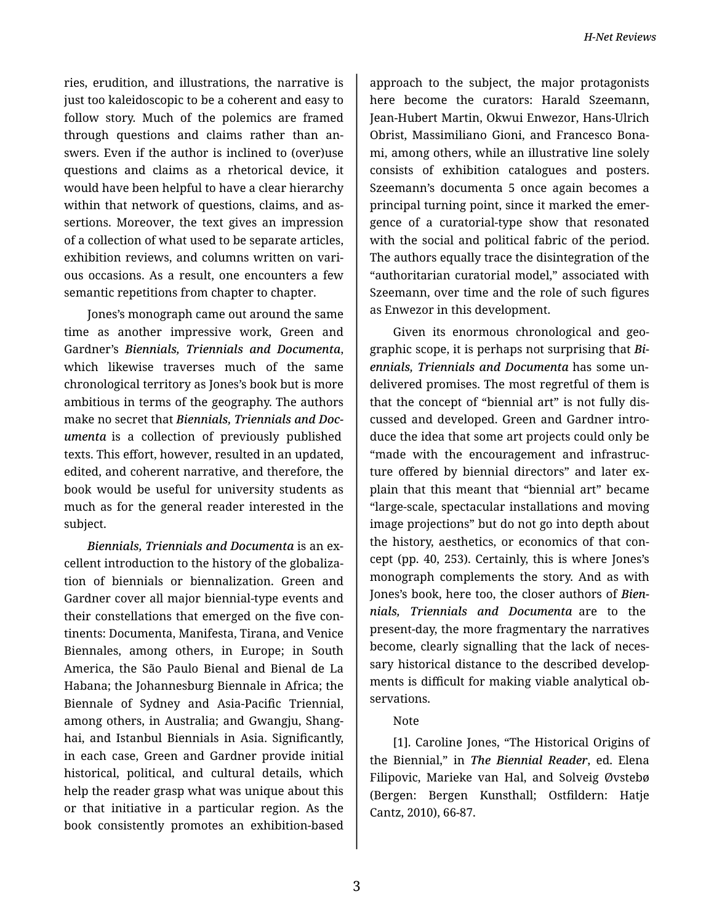ries, erudition, and illustrations, the narrative is just too kaleidoscopic to be a coherent and easy to follow story. Much of the polemics are framed through questions and claims rather than an‐ swers. Even if the author is inclined to (over)use questions and claims as a rhetorical device, it would have been helpful to have a clear hierarchy within that network of questions, claims, and as‐ sertions. Moreover, the text gives an impression of a collection of what used to be separate articles, exhibition reviews, and columns written on vari‐ ous occasions. As a result, one encounters a few semantic repetitions from chapter to chapter.

Jones's monograph came out around the same time as another impressive work, Green and Gardner's *Biennials, Triennials and Documenta*, which likewise traverses much of the same chronological territory as Jones's book but is more ambitious in terms of the geography. The authors make no secret that *Biennials, Triennials and Doc‐ umenta* is a collection of previously published texts. This effort, however, resulted in an updated, edited, and coherent narrative, and therefore, the book would be useful for university students as much as for the general reader interested in the subject.

*Biennials, Triennials and Documenta* is an ex‐ cellent introduction to the history of the globaliza‐ tion of biennials or biennalization. Green and Gardner cover all major biennial-type events and their constellations that emerged on the five con‐ tinents: Documenta, Manifesta, Tirana, and Venice Biennales, among others, in Europe; in South America, the São Paulo Bienal and Bienal de La Habana; the Johannesburg Biennale in Africa; the Biennale of Sydney and Asia-Pacific Triennial, among others, in Australia; and Gwangju, Shang‐ hai, and Istanbul Biennials in Asia. Significantly, in each case, Green and Gardner provide initial historical, political, and cultural details, which help the reader grasp what was unique about this or that initiative in a particular region. As the book consistently promotes an exhibition-based

approach to the subject, the major protagonists here become the curators: Harald Szeemann, Jean-Hubert Martin, Okwui Enwezor, Hans-Ulrich Obrist, Massimiliano Gioni, and Francesco Bona‐ mi, among others, while an illustrative line solely consists of exhibition catalogues and posters. Szeemann's documenta 5 once again becomes a principal turning point, since it marked the emer‐ gence of a curatorial-type show that resonated with the social and political fabric of the period. The authors equally trace the disintegration of the "authoritarian curatorial model," associated with Szeemann, over time and the role of such figures as Enwezor in this development.

Given its enormous chronological and geo‐ graphic scope, it is perhaps not surprising that *Bi‐ ennials, Triennials and Documenta* has some un‐ delivered promises. The most regretful of them is that the concept of "biennial art" is not fully dis‐ cussed and developed. Green and Gardner intro‐ duce the idea that some art projects could only be "made with the encouragement and infrastruc‐ ture offered by biennial directors" and later ex‐ plain that this meant that "biennial art" became "large-scale, spectacular installations and moving image projections" but do not go into depth about the history, aesthetics, or economics of that con‐ cept (pp. 40, 253). Certainly, this is where Jones's monograph complements the story. And as with Jones's book, here too, the closer authors of *Bien‐ nials, Triennials and Documenta* are to the present-day, the more fragmentary the narratives become, clearly signalling that the lack of neces‐ sary historical distance to the described develop‐ ments is difficult for making viable analytical ob‐ servations.

## Note

[1]. Caroline Jones, "The Historical Origins of the Biennial," in *The Biennial Reader*, ed. Elena Filipovic, Marieke van Hal, and Solveig Øvstebø (Bergen: Bergen Kunsthall; Ostfildern: Hatje Cantz, 2010), 66-87.